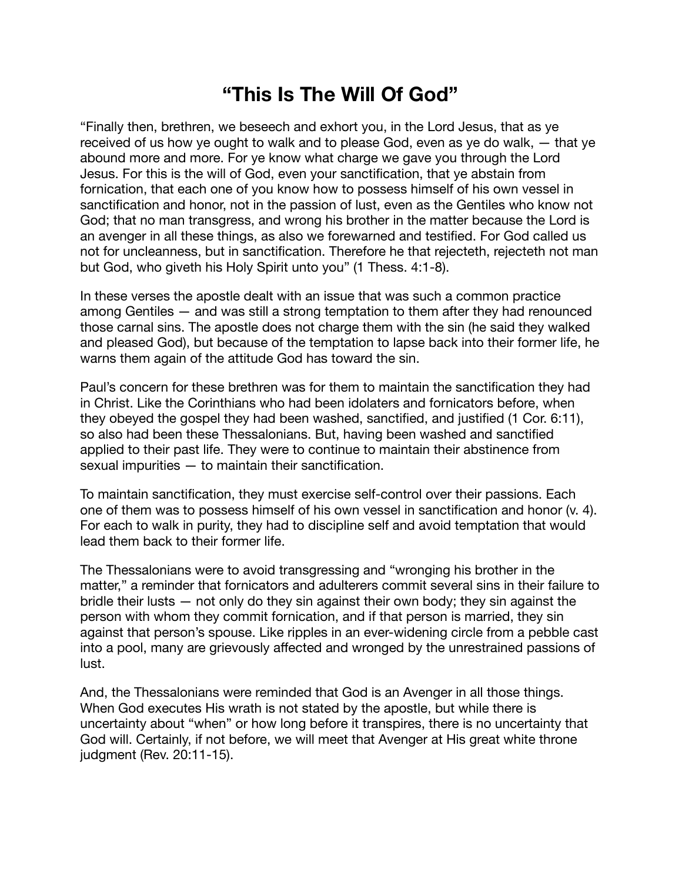## **"This Is The Will Of God"**

"Finally then, brethren, we beseech and exhort you, in the Lord Jesus, that as ye received of us how ye ought to walk and to please God, even as ye do walk, — that ye abound more and more. For ye know what charge we gave you through the Lord Jesus. For this is the will of God, even your sanctification, that ye abstain from fornication, that each one of you know how to possess himself of his own vessel in sanctification and honor, not in the passion of lust, even as the Gentiles who know not God; that no man transgress, and wrong his brother in the matter because the Lord is an avenger in all these things, as also we forewarned and testified. For God called us not for uncleanness, but in sanctification. Therefore he that rejecteth, rejecteth not man but God, who giveth his Holy Spirit unto you" (1 Thess. 4:1-8).

In these verses the apostle dealt with an issue that was such a common practice among Gentiles — and was still a strong temptation to them after they had renounced those carnal sins. The apostle does not charge them with the sin (he said they walked and pleased God), but because of the temptation to lapse back into their former life, he warns them again of the attitude God has toward the sin.

Paul's concern for these brethren was for them to maintain the sanctification they had in Christ. Like the Corinthians who had been idolaters and fornicators before, when they obeyed the gospel they had been washed, sanctified, and justified (1 Cor. 6:11), so also had been these Thessalonians. But, having been washed and sanctified applied to their past life. They were to continue to maintain their abstinence from sexual impurities — to maintain their sanctification.

To maintain sanctification, they must exercise self-control over their passions. Each one of them was to possess himself of his own vessel in sanctification and honor (v. 4). For each to walk in purity, they had to discipline self and avoid temptation that would lead them back to their former life.

The Thessalonians were to avoid transgressing and "wronging his brother in the matter," a reminder that fornicators and adulterers commit several sins in their failure to bridle their lusts — not only do they sin against their own body; they sin against the person with whom they commit fornication, and if that person is married, they sin against that person's spouse. Like ripples in an ever-widening circle from a pebble cast into a pool, many are grievously affected and wronged by the unrestrained passions of lust.

And, the Thessalonians were reminded that God is an Avenger in all those things. When God executes His wrath is not stated by the apostle, but while there is uncertainty about "when" or how long before it transpires, there is no uncertainty that God will. Certainly, if not before, we will meet that Avenger at His great white throne judgment (Rev. 20:11-15).